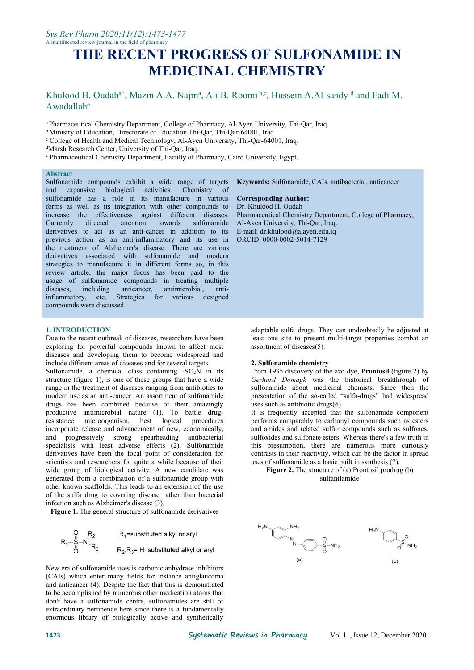# **THE RECENT PROGRESS OF SULFONAMIDE IN MEDICINAL CHEMISTRY**

#### Khulood H. Oudah<sup>a\*</sup>, Mazin A.A. Najm<sup>a</sup>, Ali B. Roomi b,c, Hussein A.Al-saidy <sup>d</sup> and Fadi M. Awadallah e

<sup>a</sup> Pharmaceutical Chemistry Department, College of Pharmacy, Al-Ayen University,Thi-Qar, Iraq.

<sup>b</sup> Ministry of Education, Directorate of Education Thi-Qar, Thi-Qar-64001, Iraq.

<sup>c</sup> College of Health and Medical Technology, Al-Ayen University, Thi-Qar-64001, Iraq.

<sup>d</sup>Marsh Research Center, University of Thi-Qar, Iraq.

e Pharmaceutical Chemistry Department, Faculty of Pharmacy, Cairo University, Egypt.

#### **Abstract**

Sulfonamide compounds exhibit a wide range of targets and expansive biological activities. Chemistry of sulfonamide has a role in its manufacture in various forms as well as its integration with other compounds to increase the effectiveness against different diseases. Currently directed attention towards derivatives to act as an anti-cancer in addition to its previous action as an anti-inflammatory and its use in the treatment of Alzheimer's disease. There are various derivatives associated with sulfonamide and modern strategies to manufacture it in different forms so, in this review article, the major focus has been paid to the usage of sulfonamide compounds in treating multiple diseases, including anticancer, antimicrobial, antiinflammatory, etc. Strategies for various designed compounds were discussed.

#### **1. INTRODUCTION**

Due to the recent outbreak of diseases, researchers have been exploring for powerful compounds known to affect most diseases and developing them to become widespread and include different areas of diseases and for several targets.

Sulfonamide, a chemical class containing  $-SO_2N$  in its structure (figure 1), is one of these groups that have a wide range in the treatment of diseases ranging from antibiotics to modern use as an anti-cancer. An assortment of sulfonamide drugs has been combined because of their amazingly productive antimicrobial nature (1). To battle drugresistance microorganism, best logical procedures incorporate release and advancement of new, economically, and progressively strong spearheading antibacterial specialists with least adverse effects (2). Sulfonamide derivatives have been the focal point of consideration for scientists and researchers for quite a while because of their wide group of biological activity. A new candidate was generated from a combination of a sulfonamide group with other known scaffolds. This leads to an extension of the use of the sulfa drug to covering disease rather than bacterial infection such as Alzheimer's disease (3).

**Figure 1.** The general structure of sulfonamide derivatives

$$
R_1 = \frac{R_2}{S - N} \cdot \frac{R_2}{R_3}
$$
  
\n
$$
R_2 = R_1
$$
  
\n
$$
R_3 = R_2
$$
  
\nR<sub>2</sub>, R<sub>3</sub> = H, substituted alkyl or aryl

New era of sulfonamide uses is carbonic anhydrase inhibitors (CAIs) which enter many fields for instance antiglaucoma and anticancer (4). Despite the fact that this is demonstrated to be accomplished by numerous other medication atoms that don't have a sulfonamide centre, sulfonamides are still of extraordinary pertinence here since there is a fundamentally enormous library of biologically active and synthetically

#### **Keywords:** Sulfonamide, CAIs, antibacterial, anticancer.

### **Corresponding Author:**

Dr. Khulood H. Oudah Pharmaceutical Chemistry Department, College of Pharmacy, Al-Ayen University, Thi-Qar, Iraq. E-mail: [dr.khulood@alayen.edu.iq](mailto:dr.khulood@alayen.edu.iq) ORCID: 0000-0002-5014-7129

adaptable sulfa drugs. They can undoubtedly be adjusted at least one site to present multi-target properties combat an assortment of diseases(5).

### **2. Sulfonamide chemistry**

From 1935 discovery of the azo dye, **Prontosil** (figure 2) by *Gerhard Domagk* was the historical breakthrough of sulfonamide about medicinal chemists. Since then the presentation of the so-called "sulfa-drugs" had widespread uses such as antibiotic drugs(6).

It is frequently accepted that the sulfonamide component performs comparably to carbonyl compounds such as esters and amides and related sulfur compounds such as sulfones, sulfoxides and sulfonate esters. Whereas there's a few truth in this presumption, there are numerous more curiously contrasts in their reactivity, which can be the factor in spread uses of sulfonamide as a basic built in synthesis (7).

**Figure 2.** The structure of (a) Prontosil prodrug (b) sulfanilamide

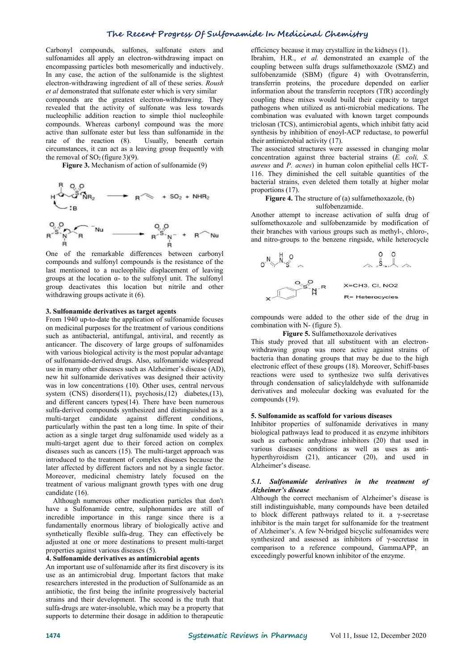# **The Recent Progress Of Sulfonamide In MedicinalChemistry**

Carbonyl compounds, sulfones, sulfonate esters and sulfonamides all apply an electron-withdrawing impact on encompassing particles both mesomerically and inductively. In any case, the action of the sulfonamide is the slightest electron-withdrawing ingredient of all of these series. *Roush et al* demonstrated that sulfonate esterwhich is very similar

compounds are the greatest electron-withdrawing. They revealed that the activity of sulfonate was less towards nucleophilic addition reaction to simple thiol nucleophile compounds. Whereas carbonyl compound was the more active than sulfonate ester but less than sulfonamide in the rate of the reaction (8). Usually, beneath certain circumstances, it can act as a leaving group frequently with the removal of  $SO<sub>2</sub>$  (figure 3)(9).

**Figure 3.** Mechanism of action of sulfonamide (9)

$$
H \xrightarrow{R} \mathcal{Q}, \mathcal{Q}
$$
  
\n
$$
\downarrow B
$$
  
\n
$$
\downarrow B
$$
  
\n
$$
\downarrow B
$$
  
\n
$$
\downarrow B
$$
  
\n
$$
\downarrow B
$$
  
\n
$$
\downarrow B
$$
  
\n
$$
\downarrow B
$$
  
\n
$$
\downarrow B
$$
  
\n
$$
\downarrow B
$$
  
\n
$$
\downarrow B
$$
  
\n
$$
\downarrow B
$$
  
\n
$$
\downarrow B
$$
  
\n
$$
\downarrow B
$$
  
\n
$$
\downarrow B
$$
  
\n
$$
\downarrow B
$$
  
\n
$$
\downarrow B
$$
  
\n
$$
\downarrow B
$$
  
\n
$$
\downarrow B
$$
  
\n
$$
\downarrow B
$$
  
\n
$$
\downarrow B
$$
  
\n
$$
\downarrow B
$$
  
\n
$$
\downarrow B
$$
  
\n
$$
\downarrow B
$$
  
\n
$$
\downarrow B
$$
  
\n
$$
\downarrow B
$$
  
\n
$$
\downarrow B
$$
  
\n
$$
\downarrow B
$$
  
\n
$$
\downarrow B
$$
  
\n
$$
\downarrow B
$$
  
\n
$$
\downarrow B
$$
  
\n
$$
\downarrow B
$$
  
\n
$$
\downarrow B
$$
  
\n
$$
\downarrow B
$$
  
\n
$$
\downarrow B
$$
  
\n
$$
\downarrow B
$$
  
\n
$$
\downarrow B
$$
  
\n
$$
\downarrow B
$$
  
\n
$$
\downarrow B
$$
  
\n
$$
\downarrow B
$$
  
\n
$$
\downarrow B
$$
  
\n
$$
\downarrow B
$$
  
\n
$$
\downarrow B
$$
  
\n
$$
\downarrow B
$$
  
\n
$$
\downarrow B
$$
  
\n
$$
\downarrow B
$$
  
\n
$$
\downarrow B
$$
  
\n
$$
\downarrow B
$$
  
\n
$$
\downarrow B
$$
  
\n
$$
\downarrow B
$$
  
\n

One of the remarkable differences between carbonyl<br>compounds and sulfonyl compounds is the resistance of the  $\bigcirc^N$ compounds and sulfonyl compounds is the resistance of the last mentioned to a nucleophilic displacement of leaving groups at the location  $\alpha$ - to the sulfonyl unit. The sulfonyl group deactivates this location but nitrile and other withdrawing groups activate it (6).

#### **3. Sulfonamide derivatives as target agents**

From 1940 up-to-date the application of sulfonamide focuses on medicinal purposes for the treatment of various conditions such as antibacterial, antifungal, antiviral, and recently as anticancer. The discovery of large groups of sulfonamides with various biological activity is the most popular advantage of sulfonamide-derived drugs. Also, sulfonamide widespread use in many other diseases such as Alzheimer's disease (AD), new hit sulfonamide derivatives was designed their activity was in low concentrations (10). Other uses, central nervous system (CNS) disorders(11), psychosis,(12) diabetes,(13), and different cancers types(14). There have been numerous sulfa-derived compounds synthesized and distinguished as a multi-target candidate against different conditions, particularly within the past ten a long time. In spite of their action as a single target drug sulfonamide used widely as a multi-target agent due to their forced action on complex diseases such as cancers (15). The multi-target approach was introduced to the treatment of complex diseases because the later affected by different factors and not by a single factor. Moreover, medicinal chemistry lately focused on the<br>treatment of various malignant growth types with one drug 5.1. Sulfonamide treatment of various malignant growth types with one drug candidate (16).

Although numerous other medication particles that don't have a Sulfonamide centre, sulphonamides are still of incredible importance in this range since there is a fundamentally enormous library of biologically active and synthetically flexible sulfa-drug. They can effectively be adjusted at one or more destinations to present multi-target properties against various diseases (5).

## **4. Sulfonamide derivatives as antimicrobial agents**

An important use of sulfonamide after its first discovery is its use as an antimicrobial drug. Important factors that make researchers interested in the production of Sulfonamide as an antibiotic, the first being the infinite progressively bacterial strains and their development. The second is the truth that sulfa-drugs are water-insoluble, which may be a property that supports to determine their dosage in addition to therapeutic

efficiency because itmay crystallize in the kidneys (1).

Ibrahim, H.R., *et al.* demonstrated an example of the coupling between sulfa drugs sulfamethoxazole (SMZ) and sulfobenzamide (SBM) (figure 4) with Ovotransferrin, transferrin proteins, the procedure depended on earlier information about the transferrin receptors (TfR) accordingly coupling these mixes would build their capacity to target pathogens when utilized as anti-microbial medications. The combination was evaluated with known target compounds triclosan (TCS), antimicrobial agents, which inhibit fatty acid synthesis by inhibition of enoyl-ACP reductase, to powerful their antimicrobial activity (17).

The associated structures were assessed in changing molar concentration against three bacterial strains (*E. coli, S. aureus* and *P. acnes*) in human colon epithelial cells HCT- 116. They diminished the cell suitable quantities of the bacterial strains, even deleted them totally at higher molar proportions (17).

#### **Figure 4.** The structure of (a) sulfamethoxazole, (b) sulfobenzamide.

Another attempt to increase activation of sulfa drug of sulfomethoxazole and sulfobenzamide by modification of their branches with various groups such as methyl-, chloro-, and nitro-groups to the benzene ringside, while heterocycle



compounds were added to the other side of the drug in combination with N- (figure 5).

# **Figure 5.** Sulfamethoxazole derivatives

This study proved that all substituent with an electron withdrawing group was more active against strains of bacteria than donating groups that may be due to the high electronic effect of these groups (18). Moreover, Schiff-bases reactions were used to synthesize two sulfa derivatives through condensation of salicylaldehyde with sulfonamide derivatives and molecular docking was evaluated for the compounds (19).

#### **5. Sulfonamide as scaffold for various diseases**

Inhibitor properties of sulfonamide derivatives in many biological pathways lead to produced it as enzyme inhibitors such as carbonic anhydrase inhibitors (20) that used in various diseases conditions as well as uses as anti hyperthyroidism (21), anticancer (20), and used in Alzheimer's disease.

#### *5.1. Sulfonamide derivatives in the treatment of Alzheimer's disease*

Although the correct mechanism of Alzheimer's disease is still indistinguishable, many compounds have been detailed to block different pathways related to it. a γ-secretase inhibitor is the main target for sulfonamide for the treatment of Alzheimer's. A few N-bridged bicyclic sulfonamides were synthesized and assessed as inhibitors of γ-secretase in comparison to a reference compound, GammaAPP, an exceedingly powerful known inhibitor of the enzyme.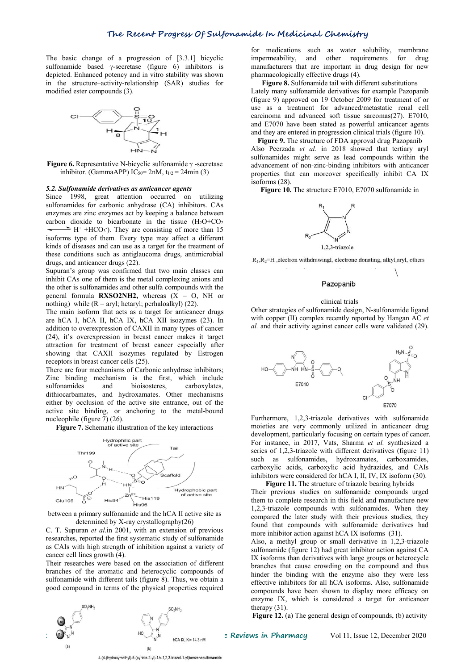The basic change of a progression of [3.3.1] bicyclic sulfonamide based γ-secretase (figure 6) inhibitors is depicted. Enhanced potency and in vitro stability was shown in the structure–activity-relationship (SAR) studies for modified ester compounds (3).



**Figure 6.** Representative N-bicyclic sulfonamide γ -secretase inhibitor. (GammaAPP) IC<sub>50</sub>= 2nM,  $t_{1/2}$  = 24min (3)

#### *5.2. Sulfonamide derivatives as anticancer agents*

Since 1998, great attention occurred on utilizing sulfonamides for carbonic anhydrase (CA) inhibitors. CAs enzymes are zinc enzymes act by keeping a balance between carbon dioxide to bicarbonate in the tissue  $(H_2O+CO_2)$  $H^+$  +HCO<sub>3</sub>). They are consisting of more than 15 isoforms type of them. Every type may affect a different kinds of diseases and can use as a target for the treatment of these conditions such as antiglaucoma drugs, antimicrobial  $R_1, R_2 = H$ , electron withdrawingl, electrone donating, alkyl, aryl, others drugs, and anticancer drugs (22).

Supuran's group was confirmed that two main classes can inhibit CAs one of them is the metal complexing anions and the other is sulfonamides and other sulfa compounds with the general formula **RXSO2NH2**, whereas  $(X = 0, NH$  or nothing) while  $(R = \text{aryl}$ ; hetaryl; perhaloalkyl) (22).

The main isoform that acts as a target for anticancer drugs are hCA I, hCA II, hCA IX, hCA XII isozymes (23). In addition to overexpression of CAXII in many types of cancer (24), it's overexpression in breast cancer makes it target attraction for treatment of breast cancer especially after showing that CAXII isozymes regulated by Estrogen receptors in breast cancer cells (25).

There are four mechanisms of Carbonic anhydrase inhibitors; Zinc binding mechanism is the first, which include sulfonamides and bioisosteres, carboxylates, dithiocarbamates, and hydroxamates. Other mechanisms either by occlusion of the active site entrance, out of the active site binding, or anchoring to the metal-bound nucleophile (figure 7) (26).

**Figure 7.** Schematic illustration of the key interactions



between a primary sulfonamide and the hCA II active site as determined by X-ray crystallography( $26$ )

C. T. Supuran *et al*.in 2001, with an extension of previous researches, reported the first systematic study of sulfonamide as CAIs with high strength of inhibition against a variety of cancer cell lines growth (4).

Their researches were based on the association of different branches of the aromatic and heterocyclic compounds of sulfonamide with different tails (figure 8). Thus, we obtain a good compound in terms of the physical properties required



**Figure 8.** Sulfonamide tail with different substitutions Lately many sulfonamide derivatives for example Pazopanib (figure 9) approved on 19 October 2009 for treatment of or use as a treatment for advanced/metastatic renal cell carcinoma and advanced soft tissue sarcomas(27). E7010, and E7070 have been stated as powerful anticancer agents and they are entered in progression clinical trials (figure 10).

**Figure 9.** The structure of FDA approval drug Pazopanib Also Peerzada *et al.* in 2018 showed that tertiary aryl sulfonamides might serve as lead compounds within the advancement of non-zinc-binding inhibitors with anticancer properties that can moreover specifically inhibit CA IX isoforms (28).

**Figure 10.** The structure E7010, E7070 sulfonamide in



#### Pazopanib

#### clinical trials

Other strategies of sulfonamide design, N-sulfonamide ligand with copper (II) complex recently reported by Hangan AC *et al.* and their activity against cancer cells were validated (29).



Furthermore, 1,2,3-triazole derivatives with sulfonamide moieties are very commonly utilized in anticancer drug development, particularly focusing on certain types of cancer. For instance, in 2017, Vats, Sharma *et al.* synthesized a series of 1,2,3-triazole with different derivatives (figure 11) such as sulfonamides, hydroxamates, carboxamides, carboxylic acids, carboxylic acid hydrazides, and CAIs inhibitors were considered for hCA I, II, IV, IX isoform (30).

**Figure 11.** The structure of triazole bearing hybrids Their previous studies on sulfonamide compounds urged them to complete research in this field and manufacture new 1,2,3-triazole compounds with sulfonamides. When they compared the later study with their previous studies, they found that compounds with sulfonamide derivatives had more inhibitor action against hCA IX isoforms (31).

Also, a methyl group or small derivative in 1,2,3-triazole sulfonamide (figure 12) had great inhibitor action against CA IX isoforms than derivatives with large groups or heterocycle branches that cause crowding on the compound and thus hinder the binding with the enzyme also they were less effective inhibitors for all hCA isoforms. Also, sulfonamide compounds have been shown to display more efficacy on enzyme IX, which is considered atarget for anticancer therapy (31).

**Figure 12.** (a) The general design of compounds, (b) activity

 $(b)$ 4-(4-(hydroxymethyl)-5-(pyridin-2-yl)-1H-1,2,3-triazol-1-yl)benzenesulfonamide

**1475 Systematic Reviews in Pharmacy** Vol 11, Issue 12, December 2020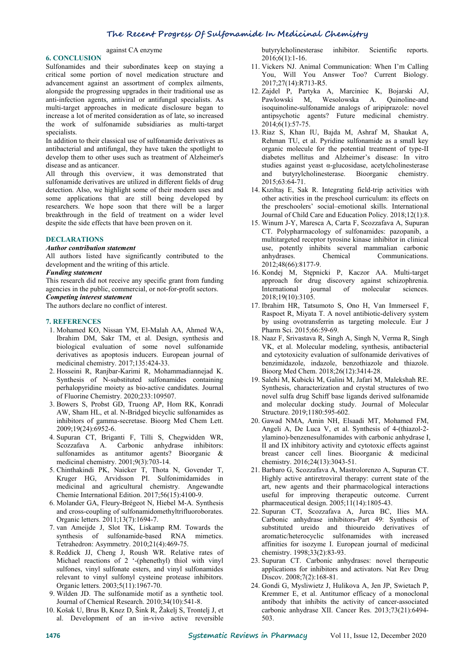# **The Recent Progress Of Sulfonamide In MedicinalChemistry**

### against CA enzyme

# **6. CONCLUSION**

Sulfonamides and their subordinates keep on staying a critical some portion of novel medication structure and advancement against an assortment of complex ailments, alongside the progressing upgrades in their traditional use as anti-infection agents, antiviral or antifungal specialists. As multi-target approaches in medicate disclosure began to increase a lot of merited consideration as of late, so increased the work of sulfonamide subsidiaries as multi-target specialists.

In addition to their classical use of sulfonamide derivatives as antibacterial and antifungal, they have taken the spotlight to develop them to other uses such as treatment of Alzheimer's disease and as anticancer.

All through this overview, it was demonstrated that sulfonamide derivatives are utilized in different fields of drug detection. Also, we highlight some of their modern uses and some applications that are still being developed by researchers. We hope soon that there will be a larger breakthrough in the field of treatment on a wider level despite the side effects that have been proven on it.

# **DECLARATIONS**

# *Author contribution statement*

All authors listed have significantly contributed to the anhydrases. development and the writing of this article.

#### *Funding statement*

This research did not receive any specific grant from funding agencies in the public, commercial, or not-for-profit sectors. *Competing interest statement*

The authors declare no conflict of interest.

#### **7. REFERENCES**

- 1. Mohamed KO, Nissan YM, El-Malah AA, Ahmed WA, Ibrahim DM, Sakr TM, et al. Design, synthesis and biological evaluation of some novel sulfonamide derivatives as apoptosis inducers. European journal of medicinal chemistry. 2017;135:424-33.
- 2. Hosseini R, Ranjbar-Karimi R, Mohammadiannejad K. Synthesis of N-substituted sulfonamides containing perhalopyridine moiety as bio-active candidates. Journal of Fluorine Chemistry. 2020;233:109507.
- 3. Bowers S, Probst GD, Truong AP, Hom RK, Konradi AW, Sham HL, et al. N-Bridged bicyclic sulfonamides as inhibitors of gamma-secretase. Bioorg Med Chem Lett. 2009;19(24):6952-6.
- 4. Supuran CT, Briganti F, Tilli S, Chegwidden WR, Scozzafava A. Carbonic anhydrase inhibitors: sulfonamides as antitumor agents? Bioorganic & medicinal chemistry. 2001;9(3):703-14.
- 5. Chinthakindi PK, Naicker T, Thota N, Govender T, Kruger HG, Arvidsson PI. Sulfonimidamides in medicinal and agricultural chemistry. Angewandte Chemie International Edition. 2017;56(15):4100-9.
- 6. Molander GA, Fleury-Brégeot N, Hiebel M-A. Synthesis<br>and cross-coupling of sulfonamidomethyltrifluoroborates. 22. Supuran CT, Scozzafava A, Jurca BC, Ilies MA. and cross-coupling of sulfonamidomethyltrifluoroborates. Organic letters. 2011;13(7):1694-7.
- 7. van Ameijde J, Slot TK, Liskamp RM. Towards the synthesis of sulfonamide-based RNA mimetics. Tetrahedron: Asymmetry. 2010;21(4):469-75.
- 8. Reddick JJ, Cheng J, Roush WR. Relative rates of Michael reactions of 2 '-(phenethyl) thiol with vinyl sulfones, vinyl sulfonate esters, and vinyl sulfonamides relevant to vinyl sulfonyl cysteine protease inhibitors. Organic letters. 2003;5(11):1967-70.
- 9. Wilden JD. The sulfonamide motif as a synthetic tool. Journal of Chemical Research. 2010;34(10):541-8.
- 10. Košak U, Brus B, Knez D, Šink R, Žakelj S, Trontelj J, et al. Development of an in-vivo active reversible

butyrylcholinesterase inhibitor. Scientific reports. 2016;6(1):1-16.

- 11. Vickers NJ. Animal Communication: When I'm Calling You, Will You Answer Too? Current Biology. 2017;27(14):R713-R5.
- 12. Zajdel P, Partyka A, Marciniec K, Bojarski AJ, Pawlowski M, Wesolowska A. Quinoline-and isoquinoline-sulfonamide analogs of aripiprazole: novel antipsychotic agents? Future medicinal chemistry. 2014;6(1):57-75.
- 13. Riaz S, Khan IU, Bajda M, Ashraf M, Shaukat A, Rehman TU, et al. Pyridine sulfonamide as a small key organic molecule for the potential treatment of type-II diabetes mellitus and Alzheimer's disease: In vitro studies against yeast α-glucosidase, acetylcholinesterase and butyrylcholinesterase. Bioorganic chemistry. 2015;63:64-71.
- 14. Kızıltaş E, Sak R. Integrating field-trip activities with other activities in the preschool curriculum: its effects on the preschoolers' social–emotional skills. International Journal of Child Care and Education Policy. 2018;12(1):8.
- 15. Winum J-Y, Maresca A, Carta F, Scozzafava A, Supuran CT. Polypharmacology of sulfonamides: pazopanib, a multitargeted receptor tyrosine kinase inhibitor in clinical use, potently inhibits several mammalian carbonic Chemical Communications. 2012;48(66):8177-9.
- 16. Kondej M, Stępnicki P, Kaczor AA. Multi-target approach for drug discovery against schizophrenia. International journal of molecular sciences. 2018;19(10):3105.
- 17. Ibrahim HR, Tatsumoto S, Ono H, Van Immerseel F, Raspoet R, Miyata T. A novel antibiotic-delivery system by using ovotransferrin as targeting molecule. Eur J Pharm Sci. 2015;66:59-69.
- 18. Naaz F, Srivastava R, Singh A, Singh N, Verma R, Singh VK, et al. Molecular modeling, synthesis, antibacterial and cytotoxicity evaluation of sulfonamide derivatives of benzimidazole, indazole, benzothiazole and thiazole. Bioorg Med Chem. 2018;26(12):3414-28.
- 19. Salehi M, Kubicki M, Galini M, Jafari M, Malekshah RE. Synthesis, characterization and crystal structures of two novel sulfa drug Schiff base ligands derived sulfonamide and molecular docking study. Journal of Molecular Structure. 2019;1180:595-602.
- 20. Gawad NMA, Amin NH, Elsaadi MT, Mohamed FM, Angeli A, De Luca V, et al. Synthesis of 4-(thiazol-2 ylamino)-benzenesulfonamides with carbonic anhydrase I, II and IX inhibitory activity and cytotoxic effects against breast cancer cell lines. Bioorganic & medicinal chemistry. 2016;24(13):3043-51.
- 21. Barbaro G, Scozzafava A, Mastrolorenzo A, Supuran CT. Highly active antiretroviral therapy: current state of the art, new agents and their pharmacological interactions useful for improving therapeutic outcome. Current pharmaceutical design. 2005;11(14):1805-43.
- Carbonic anhydrase inhibitors-Part 49: Synthesis of substituted ureido and thioureido derivatives of aromatic/heterocyclic sulfonamides with increased affinities for isozyme I. European journal of medicinal chemistry. 1998;33(2):83-93.
- 23. Supuran CT. Carbonic anhydrases: novel therapeutic applications for inhibitors and activators. Nat Rev Drug Discov. 2008;7(2):168-81.
- 24. Gondi G, Mysliwietz J, Hulikova A, Jen JP, Swietach P, Kremmer E, et al. Antitumor efficacy of a monoclonal antibody that inhibits the activity of cancer-associated carbonic anhydrase XII. Cancer Res. 2013;73(21):6494- 503.